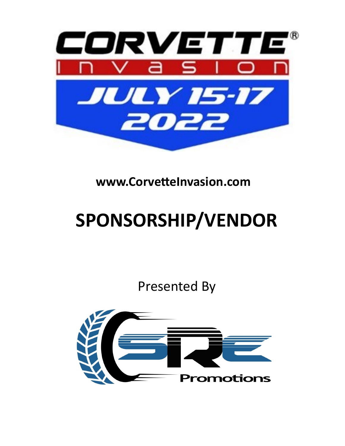

## **SPONSORSHIP/VENDOR**

Presented By

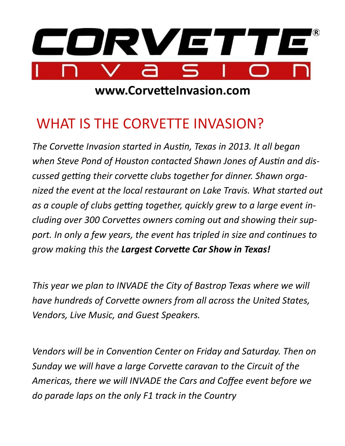

#### WHAT IS THE CORVETTE INVASION?

*The Corvette Invasion started in Austin, Texas in 2013. It all began when Steve Pond of Houston contacted Shawn Jones of Austin and discussed getting their corvette clubs together for dinner. Shawn organized the event at the local restaurant on Lake Travis. What started out as a couple of clubs getting together, quickly grew to a large event including over 300 Corvettes owners coming out and showing their support. In only a few years, the event has tripled in size and continues to grow making this the Largest Corvette Car Show in Texas!*

*This year we plan to INVADE the City of Bastrop Texas where we will have hundreds of Corvette owners from all across the United States, Vendors, Live Music, and Guest Speakers.* 

*Vendors will be in Convention Center on Friday and Saturday. Then on Sunday we will have a large Corvette caravan to the Circuit of the Americas, there we will INVADE the Cars and Coffee event before we do parade laps on the only F1 track in the Country*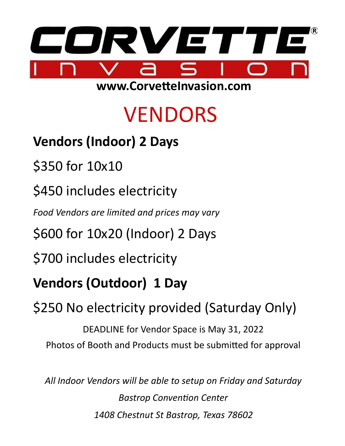

## VENDORS

- **Vendors (Indoor) 2 Days**
- \$350 for 10x10
- \$450 includes electricity
- *Food Vendors are limited and prices may vary*
- \$600 for 10x20 (Indoor) 2 Days
- \$700 includes electricity
- **Vendors (Outdoor) 1 Day**
- \$250 No electricity provided (Saturday Only)
	- DEADLINE for Vendor Space is May 31, 2022 Photos of Booth and Products must be submitted for approval
	- *All Indoor Vendors will be able to setup on Friday and Saturday Bastrop Convention Center 1408 Chestnut St Bastrop, Texas 78602*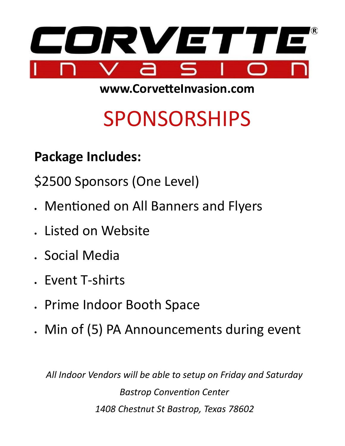

# SPONSORSHIPS

**Package Includes:**

\$2500 Sponsors (One Level)

- Mentioned on All Banners and Flyers
- Listed on Website
- Social Media
- Event T-shirts
- Prime Indoor Booth Space
- Min of (5) PA Announcements during event

*All Indoor Vendors will be able to setup on Friday and Saturday Bastrop Convention Center 1408 Chestnut St Bastrop, Texas 78602*